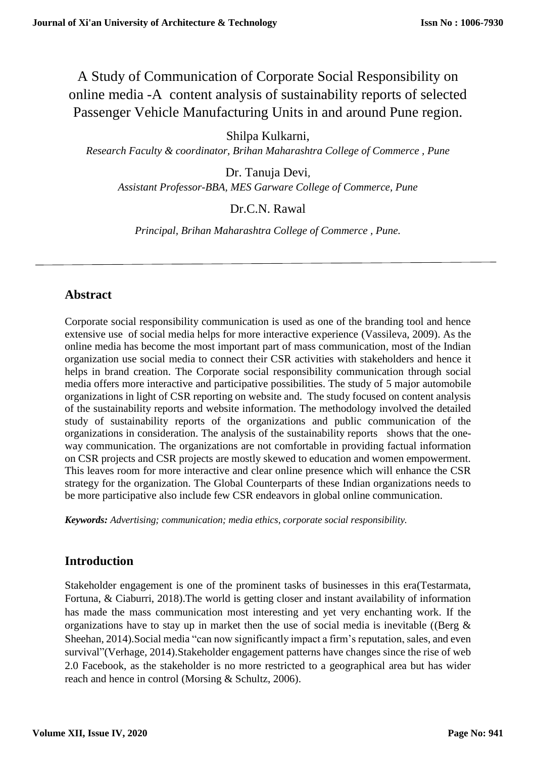A Study of Communication of Corporate Social Responsibility on online media -A content analysis of sustainability reports of selected Passenger Vehicle Manufacturing Units in and around Pune region.

Shilpa Kulkarni,

*Research Faculty & coordinator, Brihan Maharashtra College of Commerce , Pune*

Dr. Tanuja Devi*, Assistant Professor-BBA, MES Garware College of Commerce, Pune*

Dr.C.N. Rawal

*Principal, Brihan Maharashtra College of Commerce , Pune.*

## **Abstract**

Corporate social responsibility communication is used as one of the branding tool and hence extensive use of social media helps for more interactive experience (Vassileva, 2009). As the online media has become the most important part of mass communication, most of the Indian organization use social media to connect their CSR activities with stakeholders and hence it helps in brand creation. The Corporate social responsibility communication through social media offers more interactive and participative possibilities. The study of 5 major automobile organizations in light of CSR reporting on website and. The study focused on content analysis of the sustainability reports and website information. The methodology involved the detailed study of sustainability reports of the organizations and public communication of the organizations in consideration. The analysis of the sustainability reports shows that the oneway communication. The organizations are not comfortable in providing factual information on CSR projects and CSR projects are mostly skewed to education and women empowerment. This leaves room for more interactive and clear online presence which will enhance the CSR strategy for the organization. The Global Counterparts of these Indian organizations needs to be more participative also include few CSR endeavors in global online communication.

*Keywords: Advertising; communication; media ethics, corporate social responsibility.*

# **Introduction**

Stakeholder engagement is one of the prominent tasks of businesses in this era(Testarmata, Fortuna, & Ciaburri, 2018).The world is getting closer and instant availability of information has made the mass communication most interesting and yet very enchanting work. If the organizations have to stay up in market then the use of social media is inevitable ((Berg  $\&$ Sheehan, 2014).Social media "can now significantly impact a firm's reputation, sales, and even survival"(Verhage, 2014).Stakeholder engagement patterns have changes since the rise of web 2.0 Facebook, as the stakeholder is no more restricted to a geographical area but has wider reach and hence in control (Morsing & Schultz, 2006).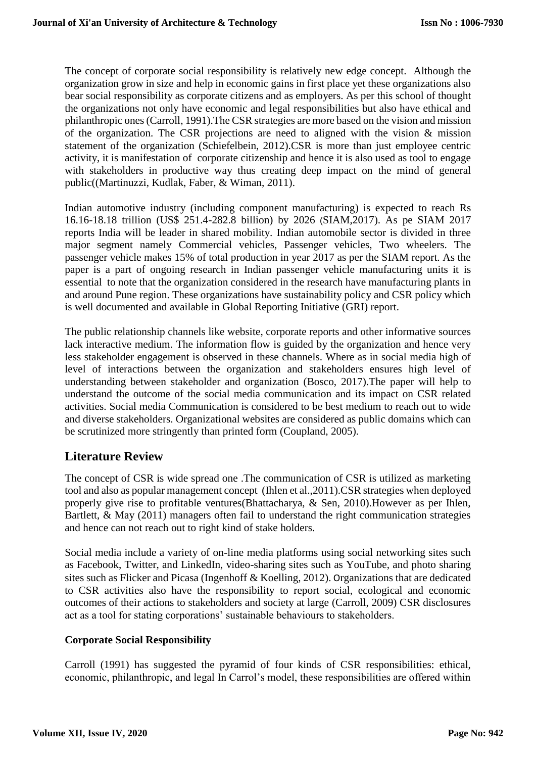The concept of corporate social responsibility is relatively new edge concept. Although the organization grow in size and help in economic gains in first place yet these organizations also bear social responsibility as corporate citizens and as employers. As per this school of thought the organizations not only have economic and legal responsibilities but also have ethical and philanthropic ones(Carroll, 1991).The CSR strategies are more based on the vision and mission of the organization. The CSR projections are need to aligned with the vision & mission statement of the organization (Schiefelbein, 2012).CSR is more than just employee centric activity, it is manifestation of corporate citizenship and hence it is also used as tool to engage with stakeholders in productive way thus creating deep impact on the mind of general public((Martinuzzi, Kudlak, Faber, & Wiman, 2011).

Indian automotive industry (including component manufacturing) is expected to reach Rs 16.16-18.18 trillion (US\$ 251.4-282.8 billion) by 2026 (SIAM,2017). As pe SIAM 2017 reports India will be leader in shared mobility. Indian automobile sector is divided in three major segment namely Commercial vehicles, Passenger vehicles, Two wheelers. The passenger vehicle makes 15% of total production in year 2017 as per the SIAM report. As the paper is a part of ongoing research in Indian passenger vehicle manufacturing units it is essential to note that the organization considered in the research have manufacturing plants in and around Pune region. These organizations have sustainability policy and CSR policy which is well documented and available in Global Reporting Initiative (GRI) report.

The public relationship channels like website, corporate reports and other informative sources lack interactive medium. The information flow is guided by the organization and hence very less stakeholder engagement is observed in these channels. Where as in social media high of level of interactions between the organization and stakeholders ensures high level of understanding between stakeholder and organization (Bosco, 2017).The paper will help to understand the outcome of the social media communication and its impact on CSR related activities. Social media Communication is considered to be best medium to reach out to wide and diverse stakeholders. Organizational websites are considered as public domains which can be scrutinized more stringently than printed form (Coupland, 2005).

## **Literature Review**

The concept of CSR is wide spread one .The communication of CSR is utilized as marketing tool and also as popular management concept (Ihlen et al.,2011).CSR strategies when deployed properly give rise to profitable ventures(Bhattacharya, & Sen, 2010).However as per Ihlen, Bartlett,  $\&$  May (2011) managers often fail to understand the right communication strategies and hence can not reach out to right kind of stake holders.

Social media include a variety of on-line media platforms using social networking sites such as Facebook, Twitter, and LinkedIn, video-sharing sites such as YouTube, and photo sharing sites such as Flicker and Picasa (Ingenhoff & Koelling, 2012). Organizations that are dedicated to CSR activities also have the responsibility to report social, ecological and economic outcomes of their actions to stakeholders and society at large (Carroll, 2009) CSR disclosures act as a tool for stating corporations' sustainable behaviours to stakeholders.

### **Corporate Social Responsibility**

Carroll (1991) has suggested the pyramid of four kinds of CSR responsibilities: ethical, economic, philanthropic, and legal In Carrol's model, these responsibilities are offered within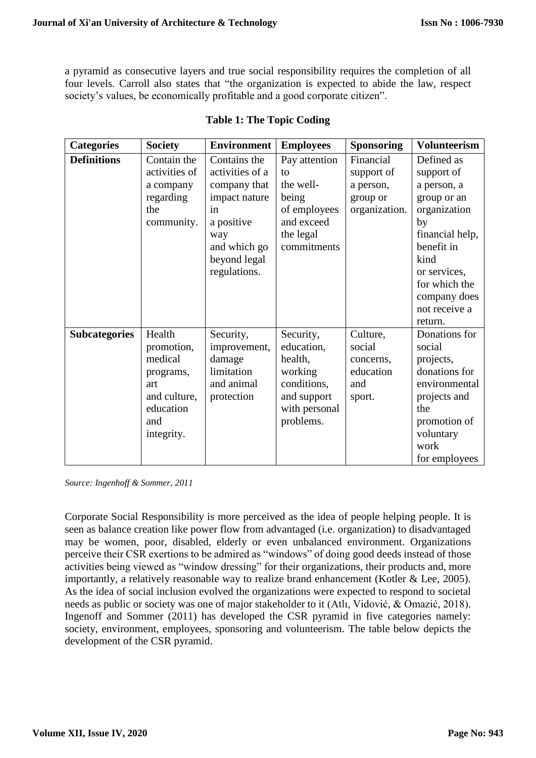a pyramid as consecutive layers and true social responsibility requires the completion of all four levels. Carroll also states that "the organization is expected to abide the law, respect society's values, be economically profitable and a good corporate citizen".

| <b>Categories</b>    | <b>Society</b>                                                                                        | <b>Environment</b>                                                                                                                          | <b>Employees</b>                                                                                          | <b>Sponsoring</b>                                                 | <b>Volunteerism</b>                                                                                                                                                                                |
|----------------------|-------------------------------------------------------------------------------------------------------|---------------------------------------------------------------------------------------------------------------------------------------------|-----------------------------------------------------------------------------------------------------------|-------------------------------------------------------------------|----------------------------------------------------------------------------------------------------------------------------------------------------------------------------------------------------|
| <b>Definitions</b>   | Contain the<br>activities of<br>a company<br>regarding<br>the<br>community.                           | Contains the<br>activities of a<br>company that<br>impact nature<br>in<br>a positive<br>way<br>and which go<br>beyond legal<br>regulations. | Pay attention<br>to<br>the well-<br>being<br>of employees<br>and exceed<br>the legal<br>commitments       | Financial<br>support of<br>a person,<br>group or<br>organization. | Defined as<br>support of<br>a person, a<br>group or an<br>organization<br>by<br>financial help,<br>benefit in<br>kind<br>or services,<br>for which the<br>company does<br>not receive a<br>return. |
| <b>Subcategories</b> | Health<br>promotion,<br>medical<br>programs,<br>art<br>and culture,<br>education<br>and<br>integrity. | Security,<br>improvement,<br>damage<br>limitation<br>and animal<br>protection                                                               | Security,<br>education,<br>health,<br>working<br>conditions,<br>and support<br>with personal<br>problems. | Culture,<br>social<br>concerns,<br>education<br>and<br>sport.     | Donations for<br>social<br>projects,<br>donations for<br>environmental<br>projects and<br>the<br>promotion of<br>voluntary<br>work<br>for employees                                                |

#### **Table 1: The Topic Coding**

*Source: Ingenhoff & Sommer, 2011*

Corporate Social Responsibility is more perceived as the idea of people helping people. It is seen as balance creation like power flow from advantaged (i.e. organization) to disadvantaged may be women, poor, disabled, elderly or even unbalanced environment. Organizations perceive their CSR exertions to be admired as "windows" of doing good deeds instead of those activities being viewed as "window dressing" for their organizations, their products and, more importantly, a relatively reasonable way to realize brand enhancement (Kotler & Lee, 2005). As the idea of social inclusion evolved the organizations were expected to respond to societal needs as public or society was one of major stakeholder to it (Atlı, Vidović, & Omazić, 2018). Ingenoff and Sommer (2011) has developed the CSR pyramid in five categories namely: society, environment, employees, sponsoring and volunteerism. The table below depicts the development of the CSR pyramid.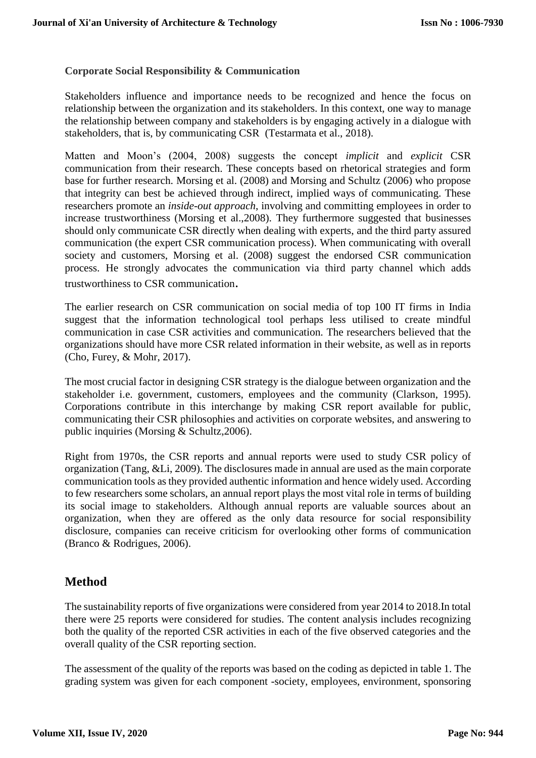#### **Corporate Social Responsibility & Communication**

Stakeholders influence and importance needs to be recognized and hence the focus on relationship between the organization and its stakeholders. In this context, one way to manage the relationship between company and stakeholders is by engaging actively in a dialogue with stakeholders, that is, by communicating CSR (Testarmata et al., 2018).

Matten and Moon's (2004, 2008) suggests the concept *implicit* and *explicit* CSR communication from their research. These concepts based on rhetorical strategies and form base for further research. Morsing et al. (2008) and Morsing and Schultz (2006) who propose that integrity can best be achieved through indirect, implied ways of communicating. These researchers promote an *inside-out approach*, involving and committing employees in order to increase trustworthiness (Morsing et al.,2008). They furthermore suggested that businesses should only communicate CSR directly when dealing with experts, and the third party assured communication (the expert CSR communication process). When communicating with overall society and customers, Morsing et al. (2008) suggest the endorsed CSR communication process. He strongly advocates the communication via third party channel which adds trustworthiness to CSR communication.

The earlier research on CSR communication on social media of top 100 IT firms in India suggest that the information technological tool perhaps less utilised to create mindful communication in case CSR activities and communication. The researchers believed that the organizations should have more CSR related information in their website, as well as in reports (Cho, Furey, & Mohr, 2017).

The most crucial factor in designing CSR strategy is the dialogue between organization and the stakeholder i.e. government, customers, employees and the community (Clarkson, 1995). Corporations contribute in this interchange by making CSR report available for public, communicating their CSR philosophies and activities on corporate websites, and answering to public inquiries (Morsing & Schultz,2006).

Right from 1970s, the CSR reports and annual reports were used to study CSR policy of organization (Tang, &Li, 2009). The disclosures made in annual are used as the main corporate communication tools as they provided authentic information and hence widely used. According to few researchers some scholars, an annual report plays the most vital role in terms of building its social image to stakeholders. Although annual reports are valuable sources about an organization, when they are offered as the only data resource for social responsibility disclosure, companies can receive criticism for overlooking other forms of communication (Branco & Rodrigues, 2006).

## **Method**

The sustainability reports of five organizations were considered from year 2014 to 2018.In total there were 25 reports were considered for studies. The content analysis includes recognizing both the quality of the reported CSR activities in each of the five observed categories and the overall quality of the CSR reporting section.

The assessment of the quality of the reports was based on the coding as depicted in table 1. The grading system was given for each component -society, employees, environment, sponsoring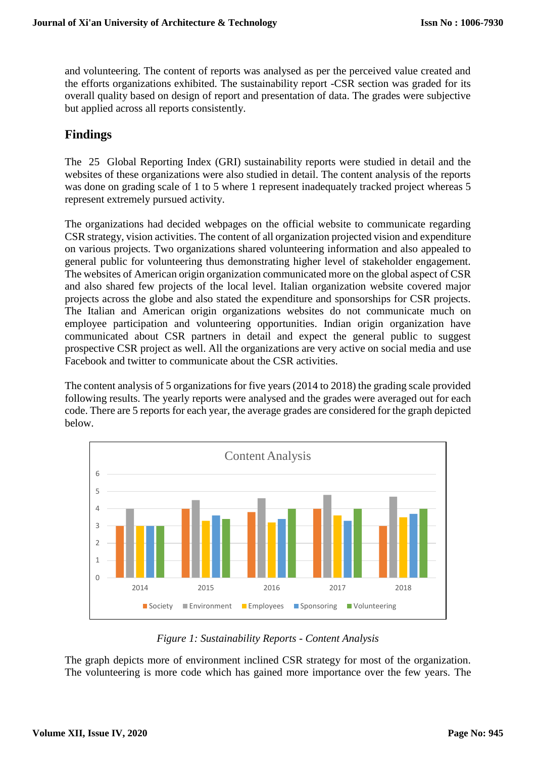and volunteering. The content of reports was analysed as per the perceived value created and the efforts organizations exhibited. The sustainability report -CSR section was graded for its overall quality based on design of report and presentation of data. The grades were subjective but applied across all reports consistently.

# **Findings**

The 25 Global Reporting Index (GRI) sustainability reports were studied in detail and the websites of these organizations were also studied in detail. The content analysis of the reports was done on grading scale of 1 to 5 where 1 represent inadequately tracked project whereas 5 represent extremely pursued activity.

The organizations had decided webpages on the official website to communicate regarding CSR strategy, vision activities. The content of all organization projected vision and expenditure on various projects. Two organizations shared volunteering information and also appealed to general public for volunteering thus demonstrating higher level of stakeholder engagement. The websites of American origin organization communicated more on the global aspect of CSR and also shared few projects of the local level. Italian organization website covered major projects across the globe and also stated the expenditure and sponsorships for CSR projects. The Italian and American origin organizations websites do not communicate much on employee participation and volunteering opportunities. Indian origin organization have communicated about CSR partners in detail and expect the general public to suggest prospective CSR project as well. All the organizations are very active on social media and use Facebook and twitter to communicate about the CSR activities.

The content analysis of 5 organizations for five years (2014 to 2018) the grading scale provided following results. The yearly reports were analysed and the grades were averaged out for each code. There are 5 reports for each year, the average grades are considered for the graph depicted below.



*Figure 1: Sustainability Reports - Content Analysis*

The graph depicts more of environment inclined CSR strategy for most of the organization. The volunteering is more code which has gained more importance over the few years. The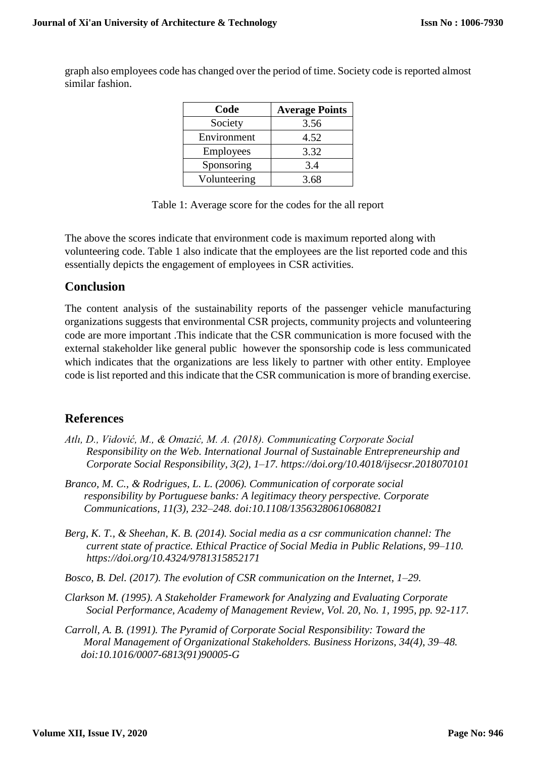graph also employees code has changed over the period of time. Society code is reported almost similar fashion.

| Code         | <b>Average Points</b> |  |  |
|--------------|-----------------------|--|--|
| Society      | 3.56                  |  |  |
| Environment  | 4.52                  |  |  |
| Employees    | 3.32                  |  |  |
| Sponsoring   | 3.4                   |  |  |
| Volunteering | 3.68                  |  |  |

Table 1: Average score for the codes for the all report

The above the scores indicate that environment code is maximum reported along with volunteering code. Table 1 also indicate that the employees are the list reported code and this essentially depicts the engagement of employees in CSR activities.

### **Conclusion**

The content analysis of the sustainability reports of the passenger vehicle manufacturing organizations suggests that environmental CSR projects, community projects and volunteering code are more important .This indicate that the CSR communication is more focused with the external stakeholder like general public however the sponsorship code is less communicated which indicates that the organizations are less likely to partner with other entity. Employee code is list reported and this indicate that the CSR communication is more of branding exercise.

## **References**

- *Atlı, D., Vidović, M., & Omazić, M. A. (2018). Communicating Corporate Social Responsibility on the Web. International Journal of Sustainable Entrepreneurship and Corporate Social Responsibility, 3(2), 1–17. https://doi.org/10.4018/ijsecsr.2018070101*
- *Branco, M. C., & Rodrigues, L. L. (2006). Communication of corporate social responsibility by Portuguese banks: A legitimacy theory perspective. Corporate Communications, 11(3), 232–248. doi:10.1108/13563280610680821*
- *Berg, K. T., & Sheehan, K. B. (2014). Social media as a csr communication channel: The current state of practice. Ethical Practice of Social Media in Public Relations, 99–110. https://doi.org/10.4324/9781315852171*
- *Bosco, B. Del. (2017). The evolution of CSR communication on the Internet, 1–29.*
- *Clarkson M. (1995). A Stakeholder Framework for Analyzing and Evaluating Corporate Social Performance, Academy of Management Review, Vol. 20, No. 1, 1995, pp. 92-117.*
- *Carroll, A. B. (1991). The Pyramid of Corporate Social Responsibility: Toward the Moral Management of Organizational Stakeholders. Business Horizons, 34(4), 39–48. doi:10.1016/0007-6813(91)90005-G*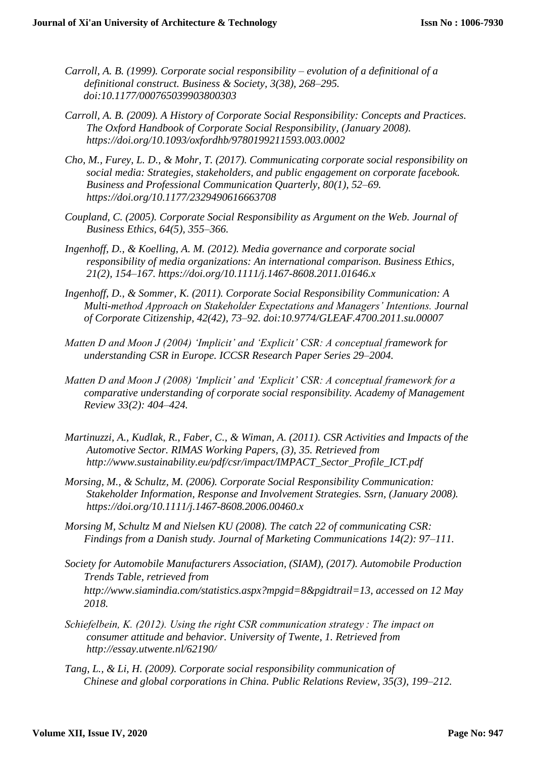- *Carroll, A. B. (1999). Corporate social responsibility – evolution of a definitional of a definitional construct. Business & Society, 3(38), 268–295. doi:10.1177/000765039903800303*
- *Carroll, A. B. (2009). A History of Corporate Social Responsibility: Concepts and Practices. The Oxford Handbook of Corporate Social Responsibility, (January 2008). https://doi.org/10.1093/oxfordhb/9780199211593.003.0002*
- *Cho, M., Furey, L. D., & Mohr, T. (2017). Communicating corporate social responsibility on social media: Strategies, stakeholders, and public engagement on corporate facebook. Business and Professional Communication Quarterly, 80(1), 52–69. https://doi.org/10.1177/2329490616663708*
- *Coupland, C. (2005). Corporate Social Responsibility as Argument on the Web. Journal of Business Ethics, 64(5), 355–366.*
- *Ingenhoff, D., & Koelling, A. M. (2012). Media governance and corporate social responsibility of media organizations: An international comparison. Business Ethics, 21(2), 154–167. https://doi.org/10.1111/j.1467-8608.2011.01646.x*
- *Ingenhoff, D., & Sommer, K. (2011). Corporate Social Responsibility Communication: A Multi-method Approach on Stakeholder Expectations and Managers' Intentions. Journal of Corporate Citizenship, 42(42), 73–92. doi:10.9774/GLEAF.4700.2011.su.00007*
- *Matten D and Moon J (2004) 'Implicit' and 'Explicit' CSR: A conceptual framework for understanding CSR in Europe. ICCSR Research Paper Series 29–2004.*
- *Matten D and Moon J (2008) 'Implicit' and 'Explicit' CSR: A conceptual framework for a comparative understanding of corporate social responsibility. Academy of Management Review 33(2): 404–424.*
- *Martinuzzi, A., Kudlak, R., Faber, C., & Wiman, A. (2011). CSR Activities and Impacts of the Automotive Sector. RIMAS Working Papers, (3), 35. Retrieved from http://www.sustainability.eu/pdf/csr/impact/IMPACT\_Sector\_Profile\_ICT.pdf*
- *Morsing, M., & Schultz, M. (2006). Corporate Social Responsibility Communication: Stakeholder Information, Response and Involvement Strategies. Ssrn, (January 2008). https://doi.org/10.1111/j.1467-8608.2006.00460.x*
- *Morsing M, Schultz M and Nielsen KU (2008). The catch 22 of communicating CSR: Findings from a Danish study. Journal of Marketing Communications 14(2): 97–111.*
- *Society for Automobile Manufacturers Association, (SIAM), (2017). Automobile Production Trends Table, retrieved from http://www.siamindia.com/statistics.aspx?mpgid=8&pgidtrail=13, accessed on 12 May 2018.*
- *Schiefelbein, K. (2012). Using the right CSR communication strategy : The impact on consumer attitude and behavior. University of Twente, 1. Retrieved from http://essay.utwente.nl/62190/*
- *Tang, L., & Li, H. (2009). Corporate social responsibility communication of Chinese and global corporations in China. Public Relations Review, 35(3), 199–212.*